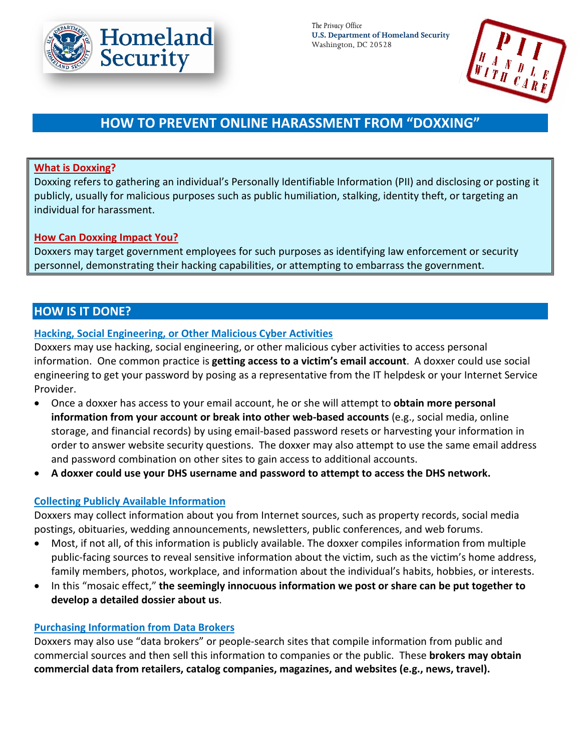

*The Privacy Office* **U.S. Department of Homeland Security** Washington, DC 20528



# **HOW TO PREVENT ONLINE HARASSMENT FROM "DOXXING"**

## **What is Doxxing?**

Doxxing refers to gathering an individual's Personally Identifiable Information (PII) and disclosing or posting it publicly, usually for malicious purposes such as public humiliation, stalking, identity theft, or targeting an individual for harassment.

### **How Can Doxxing Impact You?**

Doxxers may target government employees for such purposes as identifying law enforcement or security personnel, demonstrating their hacking capabilities, or attempting to embarrass the government.

# **HOW IS IT DONE?**

# **Hacking, Social Engineering, or Other Malicious Cyber Activities**

Doxxers may use hacking, social engineering, or other malicious cyber activities to access personal information. One common practice is **getting access to a victim's email account**. A doxxer could use social engineering to get your password by posing as a representative from the IT helpdesk or your Internet Service Provider.

- Once a doxxer has access to your email account, he or she will attempt to **obtain more personal information from your account or break into other web-based accounts** (e.g., social media, online storage, and financial records) by using email-based password resets or harvesting your information in order to answer website security questions. The doxxer may also attempt to use the same email address and password combination on other sites to gain access to additional accounts.
- **A doxxer could use your DHS username and password to attempt to access the DHS network.**

#### **Collecting Publicly Available Information**

Doxxers may collect information about you from Internet sources, such as property records, social media postings, obituaries, wedding announcements, newsletters, public conferences, and web forums.

- Most, if not all, of this information is publicly available. The doxxer compiles information from multiple public-facing sources to reveal sensitive information about the victim, such as the victim's home address, family members, photos, workplace, and information about the individual's habits, hobbies, or interests.
- In this "mosaic effect," **the seemingly innocuous information we post or share can be put together to develop a detailed dossier about us**.

#### **Purchasing Information from Data Brokers**

Doxxers may also use "data brokers" or people-search sites that compile information from public and commercial sources and then sell this information to companies or the public. These **brokers may obtain commercial data from retailers, catalog companies, magazines, and websites (e.g., news, travel).**